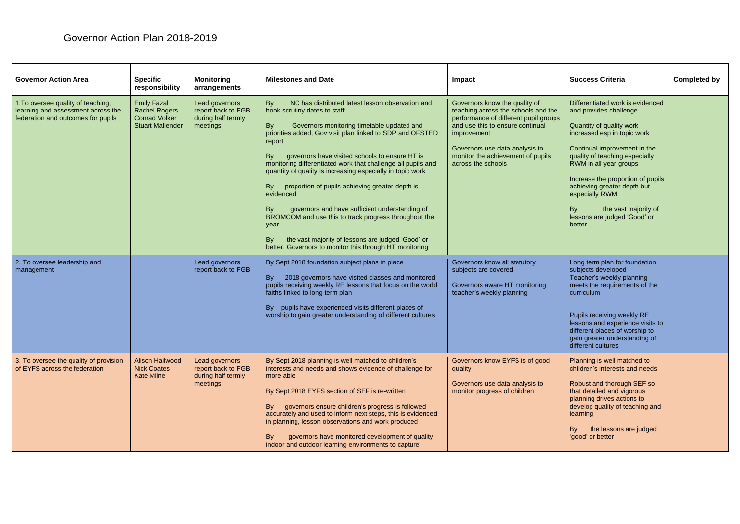## Governor Action Plan 2018-2019

| <b>Governor Action Area</b>                                                                                    | <b>Specific</b><br>responsibility                                                             | <b>Monitoring</b><br>arrangements                                      | <b>Milestones and Date</b>                                                                                                                                                                                                                                                                                                                                                                                                                                                                                                                                                                                                                                                                                                                 | Impact                                                                                                                                                                                                                                                        | <b>Success Criteria</b>                                                                                                                                                                                                                                                                                                                                                         | Completed by |
|----------------------------------------------------------------------------------------------------------------|-----------------------------------------------------------------------------------------------|------------------------------------------------------------------------|--------------------------------------------------------------------------------------------------------------------------------------------------------------------------------------------------------------------------------------------------------------------------------------------------------------------------------------------------------------------------------------------------------------------------------------------------------------------------------------------------------------------------------------------------------------------------------------------------------------------------------------------------------------------------------------------------------------------------------------------|---------------------------------------------------------------------------------------------------------------------------------------------------------------------------------------------------------------------------------------------------------------|---------------------------------------------------------------------------------------------------------------------------------------------------------------------------------------------------------------------------------------------------------------------------------------------------------------------------------------------------------------------------------|--------------|
| 1. To oversee quality of teaching,<br>learning and assessment across the<br>federation and outcomes for pupils | <b>Emily Fazal</b><br><b>Rachel Rogers</b><br><b>Conrad Volker</b><br><b>Stuart Mallender</b> | Lead governors<br>report back to FGB<br>during half termly<br>meetings | By<br>NC has distributed latest lesson observation and<br>book scrutiny dates to staff<br>Governors monitoring timetable updated and<br><b>By</b><br>priorities added, Gov visit plan linked to SDP and OFSTED<br>report<br>By<br>governors have visited schools to ensure HT is<br>monitoring differentiated work that challenge all pupils and<br>quantity of quality is increasing especially in topic work<br>proportion of pupils achieving greater depth is<br>By<br>evidenced<br>governors and have sufficient understanding of<br>By<br>BROMCOM and use this to track progress throughout the<br>year<br>the vast majority of lessons are judged 'Good' or<br><b>By</b><br>better, Governors to monitor this through HT monitoring | Governors know the quality of<br>teaching across the schools and the<br>performance of different pupil groups<br>and use this to ensure continual<br>improvement<br>Governors use data analysis to<br>monitor the achievement of pupils<br>across the schools | Differentiated work is evidenced<br>and provides challenge<br>Quantity of quality work<br>increased esp in topic work<br>Continual improvement in the<br>quality of teaching especially<br>RWM in all year groups<br>Increase the proportion of pupils<br>achieving greater depth but<br>especially RWM<br>the vast majority of<br>By<br>lessons are judged 'Good' or<br>better |              |
| 2. To oversee leadership and<br>management                                                                     |                                                                                               | Lead governors<br>report back to FGB                                   | By Sept 2018 foundation subject plans in place<br>2018 governors have visited classes and monitored<br>By<br>pupils receiving weekly RE lessons that focus on the world<br>faiths linked to long term plan<br>By pupils have experienced visits different places of<br>worship to gain greater understanding of different cultures                                                                                                                                                                                                                                                                                                                                                                                                         | Governors know all statutory<br>subjects are covered<br>Governors aware HT monitoring<br>teacher's weekly planning                                                                                                                                            | Long term plan for foundation<br>subjects developed<br>Teacher's weekly planning<br>meets the requirements of the<br>curriculum<br>Pupils receiving weekly RE<br>lessons and experience visits to<br>different places of worship to<br>gain greater understanding of<br>different cultures                                                                                      |              |
| 3. To oversee the quality of provision<br>of EYFS across the federation                                        | <b>Alison Hailwood</b><br><b>Nick Coates</b><br><b>Kate Milne</b>                             | Lead governors<br>report back to FGB<br>during half termly<br>meetings | By Sept 2018 planning is well matched to children's<br>interests and needs and shows evidence of challenge for<br>more able<br>By Sept 2018 EYFS section of SEF is re-written<br>governors ensure children's progress is followed<br>By<br>accurately and used to inform next steps, this is evidenced<br>in planning, lesson observations and work produced<br>governors have monitored development of quality<br>By<br>indoor and outdoor learning environments to capture                                                                                                                                                                                                                                                               | Governors know EYFS is of good<br>quality<br>Governors use data analysis to<br>monitor progress of children                                                                                                                                                   | Planning is well matched to<br>children's interests and needs<br>Robust and thorough SEF so<br>that detailed and vigorous<br>planning drives actions to<br>develop quality of teaching and<br>learning<br>the lessons are judged<br>By<br>'good' or better                                                                                                                      |              |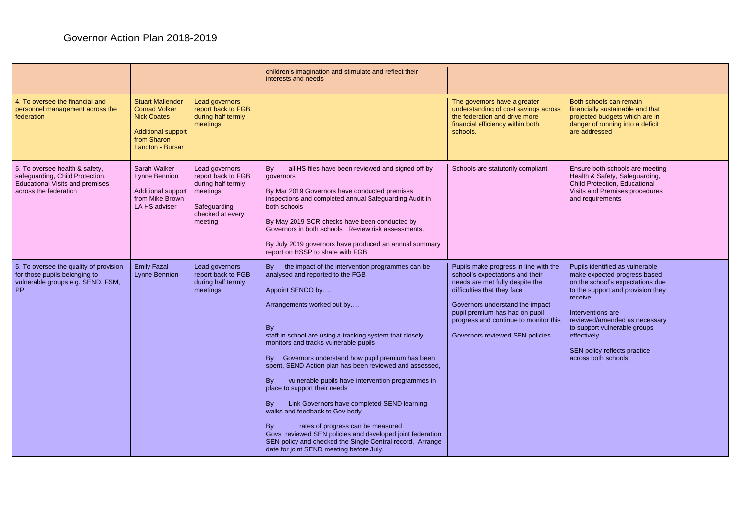## Governor Action Plan 2018-2019

|                                                                                                                                      |                                                                                                                                       |                                                                                                                       | children's imagination and stimulate and reflect their<br>interests and needs                                                                                                                                                                                                                                                                                                                                                                                                                                                                                                                                                                                                                                                                                                             |                                                                                                                                                                                                                                                                                             |                                                                                                                                                                                                                                                                                                                 |  |
|--------------------------------------------------------------------------------------------------------------------------------------|---------------------------------------------------------------------------------------------------------------------------------------|-----------------------------------------------------------------------------------------------------------------------|-------------------------------------------------------------------------------------------------------------------------------------------------------------------------------------------------------------------------------------------------------------------------------------------------------------------------------------------------------------------------------------------------------------------------------------------------------------------------------------------------------------------------------------------------------------------------------------------------------------------------------------------------------------------------------------------------------------------------------------------------------------------------------------------|---------------------------------------------------------------------------------------------------------------------------------------------------------------------------------------------------------------------------------------------------------------------------------------------|-----------------------------------------------------------------------------------------------------------------------------------------------------------------------------------------------------------------------------------------------------------------------------------------------------------------|--|
| 4. To oversee the financial and<br>personnel management across the<br>federation                                                     | <b>Stuart Mallender</b><br><b>Conrad Volker</b><br><b>Nick Coates</b><br><b>Additional support</b><br>from Sharon<br>Langton - Bursar | <b>Lead governors</b><br>report back to FGB<br>during half termly<br>meetings                                         |                                                                                                                                                                                                                                                                                                                                                                                                                                                                                                                                                                                                                                                                                                                                                                                           | The governors have a greater<br>understanding of cost savings across<br>the federation and drive more<br>financial efficiency within both<br>schools.                                                                                                                                       | Both schools can remain<br>financially sustainable and that<br>projected budgets which are in<br>danger of running into a deficit<br>are addressed                                                                                                                                                              |  |
| 5. To oversee health & safety,<br>safeguarding, Child Protection,<br><b>Educational Visits and premises</b><br>across the federation | Sarah Walker<br>Lynne Bennion<br><b>Additional support</b><br>from Mike Brown<br>LA HS adviser                                        | Lead governors<br>report back to FGB<br>during half termly<br>meetings<br>Safeguarding<br>checked at every<br>meeting | all HS files have been reviewed and signed off by<br>By<br>governors<br>By Mar 2019 Governors have conducted premises<br>inspections and completed annual Safequarding Audit in<br>both schools<br>By May 2019 SCR checks have been conducted by<br>Governors in both schools Review risk assessments.<br>By July 2019 governors have produced an annual summary<br>report on HSSP to share with FGB                                                                                                                                                                                                                                                                                                                                                                                      | Schools are statutorily compliant                                                                                                                                                                                                                                                           | Ensure both schools are meeting<br>Health & Safety, Safeguarding,<br>Child Protection, Educational<br>Visits and Premises procedures<br>and requirements                                                                                                                                                        |  |
| 5. To oversee the quality of provision<br>for those pupils belonging to<br>vulnerable groups e.g. SEND, FSM,<br>PP                   | <b>Emily Fazal</b><br>Lynne Bennion                                                                                                   | Lead governors<br>report back to FGB<br>during half termly<br>meetings                                                | By<br>the impact of the intervention programmes can be<br>analysed and reported to the FGB<br>Appoint SENCO by<br>Arrangements worked out by<br>By<br>staff in school are using a tracking system that closely<br>monitors and tracks vulnerable pupils<br>By Governors understand how pupil premium has been<br>spent, SEND Action plan has been reviewed and assessed,<br><b>By</b><br>vulnerable pupils have intervention programmes in<br>place to support their needs<br>Link Governors have completed SEND learning<br>By<br>walks and feedback to Gov body<br><b>By</b><br>rates of progress can be measured<br>Govs reviewed SEN policies and developed joint federation<br>SEN policy and checked the Single Central record. Arrange<br>date for joint SEND meeting before July. | Pupils make progress in line with the<br>school's expectations and their<br>needs are met fully despite the<br>difficulties that they face<br>Governors understand the impact<br>pupil premium has had on pupil<br>progress and continue to monitor this<br>Governors reviewed SEN policies | Pupils identified as vulnerable<br>make expected progress based<br>on the school's expectations due<br>to the support and provision they<br>receive<br>Interventions are<br>reviewed/amended as necessary<br>to support vulnerable groups<br>effectively<br>SEN policy reflects practice<br>across both schools |  |